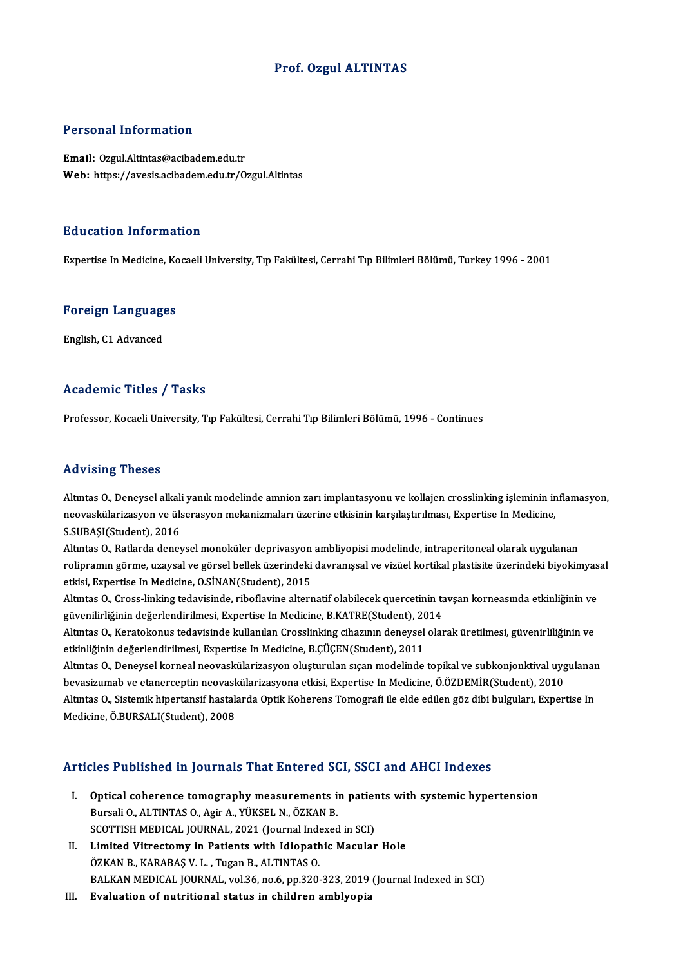### Prof. Ozgul ALTINTAS

#### Personal Information

Email: Ozgul.Altintas@acibadem.edu.tr Web: https://avesis.acibadem.edu.tr/Ozgul.Altintas

#### Education Information

Expertise InMedicine,KocaeliUniversity,Tıp Fakültesi,CerrahiTıpBilimleriBölümü,Turkey1996 -2001

## experuse in medicine, Ko<br>Foreign Languages <mark>Foreign Language</mark><br>English, C1 Advanced

# English, C1 Advanced<br>Academic Titles / Tasks

Professor, Kocaeli University, Tıp Fakültesi, Cerrahi Tıp Bilimleri Bölümü, 1996 - Continues

#### Advising Theses

Advising Theses<br>Altıntas O., Deneysel alkali yanık modelinde amnion zarı implantasyonu ve kollajen crosslinking işleminin inflamasyon,<br>neovaskillarizesyon ve ülseresyon mekanizmaları üzerine etkisinin karşılastırılması. Ev neov ronn<sub>e i</sub>n neobor<br>Altıntas 0., Deneysel alkali yanık modelinde amnion zarı implantasyonu ve kollajen crosslinking işleminin ir<br>neovaskülarizasyon ve ülserasyon mekanizmaları üzerine etkisinin karşılaştırılması, Expert Altıntas O., Deneysel alkalı<br>neovaskülarizasyon ve üls<br>S.SUBAŞI(Student), 2016<br>Altıntas O. Batlarda danaı neovaskülarizasyon ve ülserasyon mekanizmaları üzerine etkisinin karşılaştırılması, Expertise In Medicine,<br>S.SUBAŞI(Student), 2016<br>Altıntas O., Ratlarda deneysel monoküler deprivasyon ambliyopisi modelinde, intraperitoneal

S.SUBAŞI(Student), 2016<br>Altıntas O., Ratlarda deneysel monoküler deprivasyon ambliyopisi modelinde, intraperitoneal olarak uygulanan<br>rolipramın görme, uzaysal ve görsel bellek üzerindeki davranışsal ve vizüel kortikal plas Altıntas O., Ratlarda deneysel monoküler deprivasyon<br>rolipramın görme, uzaysal ve görsel bellek üzerindeki<br>etkisi, Expertise In Medicine, O.SİNAN(Student), 2015<br>Altıntas O. Grees linking tadavisinde, ribeflavine altern rolipramın görme, uzaysal ve görsel bellek üzerindeki davranışsal ve vizüel kortikal plastisite üzerindeki biyokimyasal<br>etkisi, Expertise In Medicine, O.SİNAN(Student), 2015<br>Altıntas O., Cross-linking tedavisinde, riboflav

güvenilirliğinin değerlendirilmesi, Expertise In Medicine, B.KATRE(Student), 2014 Altıntas O., Cross-linking tedavisinde, riboflavine alternatif olabilecek quercetinin tavşan korneasında etkinliğinin ve<br>güvenilirliğinin değerlendirilmesi, Expertise In Medicine, B.KATRE(Student), 2014<br>Altıntas O., Kerato

güvenilirliğinin değerlendirilmesi, Expertise In Medicine, B.KATRE(Student), 2011<br>Altıntas O., Keratokonus tedavisinde kullanılan Crosslinking cihazının deneysel<br>etkinliğinin değerlendirilmesi, Expertise In Medicine, B.ÇÜÇ Altıntas O., Keratokonus tedavisinde kullanılan Crosslinking cihazının deneysel olarak üretilmesi, güvenirliliğinin ve<br>etkinliğinin değerlendirilmesi, Expertise In Medicine, B.ÇÜÇEN(Student), 2011<br>Altıntas O., Deneysel kor

etkinliğinin değerlendirilmesi, Expertise In Medicine, B.ÇÜÇEN(Student), 2011<br>Altıntas O., Deneysel korneal neovaskülarizasyon oluşturulan sıçan modelinde topikal ve subkonjonktival uyg<br>bevasizumab ve etanerceptin neovaskü Altıntas O., Deneysel korneal neovaskülarizasyon oluşturulan sıçan modelinde topikal ve subkonjonktival uygulanar<br>bevasizumab ve etanerceptin neovaskülarizasyona etkisi, Expertise In Medicine, Ö.ÖZDEMİR(Student), 2010<br>Altı bevasizumab ve etanerceptin neovask<br>Altıntas O., Sistemik hipertansif hastalı<br>Medicine, Ö.BURSALI(Student), 2008

# Medicine, Ö.BURSALI(Student), 2008<br>Articles Published in Journals That Entered SCI, SSCI and AHCI Indexes

- rticles Published in Journals That Entered SCI, SSCI and AHCI Indexes<br>I. Optical coherence tomography measurements in patients with systemic hypertension<br>Ruggli O. ALTINTAS O. Agir A. VÜKSEL N. ÖZKAN B Bursali O., ALTINTAS O., Agir A., YÜKSEL N., ÖZKAN B.<br>SCOTTISH MEDICAL JOURNAL, 2021 (Journal Indexed in SCI) Optical coherence tomography measurements in patier<br>Bursali O., ALTINTAS O., Agir A., YÜKSEL N., ÖZKAN B.<br>SCOTTISH MEDICAL JOURNAL, 2021 (Journal Indexed in SCI)<br>Limited Vitrestemy in Patients with Idionathis Mesuler Bursali 0., ALTINTAS 0., Agir A., YÜKSEL N., ÖZKAN B.<br>SCOTTISH MEDICAL JOURNAL, 2021 (Journal Indexed in SCI)<br>II. Limited Vitrectomy in Patients with Idiopathic Macular Hole<br>ÖZKAN B. KARAPAS V. L. TUGAR B. ALTINTAS Q.
- SCOTTISH MEDICAL JOURNAL, 2021 (Journal Inde<br>Limited Vitrectomy in Patients with Idiopath<br>ÖZKAN B., KARABAŞ V. L. , Tugan B., ALTINTAS O.<br>BALKAN MEDICAL JOURNAL, vol 26 no 6 np 330. ÖZKAN B., KARABAŞ V. L. , Tugan B., ALTINTAS O.<br>BALKAN MEDICAL JOURNAL, vol.36, no.6, pp.320-323, 2019 (Journal Indexed in SCI)
- III. Evaluation of nutritional status in children amblyopia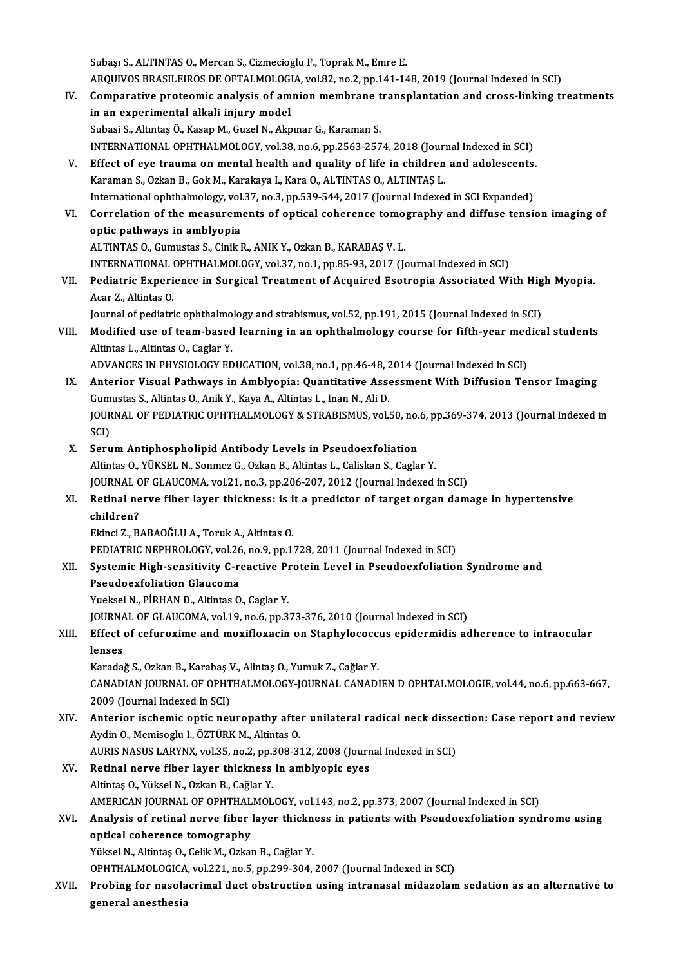Subaşı S., ALTINTAS O., Mercan S., Cizmecioglu F., Toprak M., Emre E. Subaşı S., ALTINTAS O., Mercan S., Cizmecioglu F., Toprak M., Emre E.<br>ARQUIVOS BRASILEIROS DE OFTALMOLOGIA, vol.82, no.2, pp.141-148, 2019 (Journal Indexed in SCI)<br>Comparative proteomis analysis of ampion mombrane transpla Subaşı S., ALTINTAS O., Mercan S., Cizmecioglu F., Toprak M., Emre E.<br>ARQUIVOS BRASILEIROS DE OFTALMOLOGIA, vol.82, no.2, pp.141-148, 2019 (Journal Indexed in SCI)<br>IV. Comparative proteomic analysis of amnion membrane tran

ARQUIVOS BRASILEIROS DE OFTALMOLOG<br>Comparative proteomic analysis of am<br>in an experimental alkali injury model<br>Subesi S. Altates Ö. Kesan M. Surel N. Alm Comparative proteomic analysis of amnion membrane t<br>in an experimental alkali injury model<br>Subasi S., Altıntaş Ö., Kasap M., Guzel N., Akpınar G., Karaman S.<br>INTERNATIONAL OPHTHALMOLOCY, vol 39, no 6, nn 3563, 357 in an experimental alkali injury model<br>Subasi S., Altıntaş Ö., Kasap M., Guzel N., Akpınar G., Karaman S.<br>INTERNATIONAL OPHTHALMOLOGY, vol.38, no.6, pp.2563-2574, 2018 (Journal Indexed in SCI)

- Subasi S., Altıntaş Ö., Kasap M., Guzel N., Akpınar G., Karaman S.<br>INTERNATIONAL OPHTHALMOLOGY, vol.38, no.6, pp.2563-2574, 2018 (Journal Indexed in SCI)<br>V. Effect of eye trauma on mental health and quality of life in chil INTERNATIONAL OPHTHALMOLOGY, vol.38, no.6, pp.2563-2574, 2018 (Journal)<br>Effect of eye trauma on mental health and quality of life in children<br>Karaman S., Ozkan B., Gok M., Karakaya I., Kara O., ALTINTAS O., ALTINTAŞ L. Effect of eye trauma on mental health and quality of life in children and adolescents.<br>Karaman S., Ozkan B., Gok M., Karakaya I., Kara O., ALTINTAS O., ALTINTAS L.<br>International ophthalmology, vol.37, no.3, pp.539-544, 201
- Karaman S., Ozkan B., Gok M., Karakaya I., Kara O., ALTINTAS O., ALTINTAŞ L.<br>International ophthalmology, vol.37, no.3, pp.539-544, 2017 (Journal Indexed in SCI Expanded)<br>VI. Correlation of the measurements of optical cohe International ophthalmology, vol.<br>Correlation of the measurem<br>optic pathways in amblyopia<br>ALTINTAS O Sumustas S Sinik I Correlation of the measurements of optical coherence tomo<sub>!</sub><br>optic pathways in amblyopia<br>ALTINTAS O., Gumustas S., Cinik R., ANIK Y., Ozkan B., KARABAŞ V. L.<br>INTERNATIONAL OPHTHALMOLOCY, va<sup>127</sup>, no.1, np.85,93,2017 (k optic pathways in amblyopia<br>ALTINTAS O., Gumustas S., Cinik R., ANIK Y., Ozkan B., KARABAŞ V. L.<br>INTERNATIONAL OPHTHALMOLOGY, vol.37, no.1, pp.85-93, 2017 (Journal Indexed in SCI)

ALTINTAS 0., Gumustas S., Cinik R., ANIK Y., Ozkan B., KARABAŞ V. L.<br>INTERNATIONAL OPHTHALMOLOGY, vol.37, no.1, pp.85-93, 2017 (Journal Indexed in SCI)<br>VII. Pediatric Experience in Surgical Treatment of Acquired Esotropia INTERNATIONAL<br>Pediatric Experi<br>Acar Z., Altintas O.<br>Journal of pediatri Pediatric Experience in Surgical Treatment of Acquired Esotropia Associated With Hig<br>Acar Z., Altintas O.<br>Journal of pediatric ophthalmology and strabismus, vol.52, pp.191, 2015 (Journal Indexed in SCI)<br>Medified use of tea

Acar Z., Altintas O.<br>Journal of pediatric ophthalmology and strabismus, vol.52, pp.191, 2015 (Journal Indexed in SCI)<br>VIII. Modified use of team-based learning in an ophthalmology course for fifth-year medical students<br>Alt Journal of pediatric ophthalmo<br>Modified use of team-based<br>Altintas L., Altintas O., Caglar Y.<br>ADVANCES IN PHYSIOLOCY ED Modified use of team-based learning in an ophthalmology course for fifth-year med<br>Altintas L., Altintas O., Caglar Y.<br>ADVANCES IN PHYSIOLOGY EDUCATION, vol.38, no.1, pp.46-48, 2014 (Journal Indexed in SCI)<br>Anterior Viewel

- Altintas L., Altintas O., Caglar Y.<br>ADVANCES IN PHYSIOLOGY EDUCATION, vol.38, no.1, pp.46-48, 2014 (Journal Indexed in SCI)<br>IX. Anterior Visual Pathways in Amblyopia: Quantitative Assessment With Diffusion Tensor Imaging<br>C ADVANCES IN PHYSIOLOGY EDUCATION, vol.38, no.1, pp.46-48, 2014 (Journal Indexed in SCI)<br>Anterior Visual Pathways in Amblyopia: Quantitative Assessment With Diffusion Tensor Imaging<br>Gumustas S., Altintas O., Anik Y., Kaya A Anterior Visual Pathways in Amblyopia: Quantitative Assessment With Diffusion Tensor Imaging<br>Gumustas S., Altintas O., Anik Y., Kaya A., Altintas L., Inan N., Ali D.<br>JOURNAL OF PEDIATRIC OPHTHALMOLOGY & STRABISMUS, vol.50, Gumustas S., Altintas O., Anik Y., Kaya A., Altintas L., Inan N., Ali D.<br>JOURNAL OF PEDIATRIC OPHTHALMOLOGY & STRABISMUS, vol.!<br>SCI)
- X. SerumAntiphospholipid Antibody Levels in Pseudoexfoliation SCI)<br>Serum Antiphospholipid Antibody Levels in Pseudoexfoliation<br>Altintas O., YÜKSEL N., Sonmez G., Ozkan B., Altintas L., Caliskan S., Caglar Y.<br>JOUPMAL OE CLAUCOMA, vol 21, no 2, nn 206, 207, 2012, (Journal Indoved. Serum Antiphospholipid Antibody Levels in Pseudoexfoliation<br>Altintas O., YÜKSEL N., Sonmez G., Ozkan B., Altintas L., Caliskan S., Caglar Y.<br>JOURNAL OF GLAUCOMA, vol.21, no.3, pp.206-207, 2012 (Journal Indexed in SCI)<br>Peti
- Altintas O., YÜKSEL N., Sonmez G., Ozkan B., Altintas L., Caliskan S., Caglar Y.<br>JOURNAL OF GLAUCOMA, vol.21, no.3, pp.206-207, 2012 (Journal Indexed in SCI)<br>XI. Retinal nerve fiber layer thickness: is it a predictor of ta JOURNAL C<br><mark>Retinal ne</mark><br>children?<br>Ekingi 7 - P Retinal nerve fiber layer thickness: is i<br>children?<br>Ekinci Z., BABAOĞLU A., Toruk A., Altintas O.<br>PEDIATRIC NEPHROLOCY, vel 26. no 9. np 1. children?<br>Ekinci Z., BABAOĞLU A., Toruk A., Altintas O.<br>PEDIATRIC NEPHROLOGY, vol.26, no.9, pp.1728, 2011 (Journal Indexed in SCI)<br>Systemia Hish sensitivity G. reastive Pretain Lavel in Beaudearfelisticı

## Ekinci Z., BABAOĞLU A., Toruk A., Altintas O.<br>PEDIATRIC NEPHROLOGY, vol.26, no.9, pp.1728, 2011 (Journal Indexed in SCI)<br>XII. Systemic High-sensitivity C-reactive Protein Level in Pseudoexfoliation Syndrome and<br>Reaudearfol PEDIATRIC NEPHROLOGY, vol.26<br>Systemic High-sensitivity C-re<br>Pseudoexfoliation Glaucoma<br><sup>Vuoltool N. Pipuan D. Altintee O</sup> Systemic High-sensitivity C-reactive Pi<br>Pseudoexfoliation Glaucoma<br>Yueksel N., PİRHAN D., Altintas O., Caglar Y.<br>JOUPNAL OE GLAUCOMA vel 19, pe 6, pp 3

Pseudoexfoliation Glaucoma<br>1998: Yueksel N., PİRHAN D., Altintas O., Caglar Y.<br>1998: JOURNAL OF GLAUCOMA, vol.19, no.6, pp.373-376, 2010 (Journal Indexed in SCI)

## Yueksel N., PİRHAN D., Altintas O., Caglar Y.<br>JOURNAL OF GLAUCOMA, vol.19, no.6, pp.373-376, 2010 (Journal Indexed in SCI)<br>XIII. Effect of cefuroxime and moxifloxacin on Staphylococcus epidermidis adherence to intraocu **JOURNA**<br>Effect<br>lenses<br>Kanadai Effect of cefuroxime and moxifloxacin on Staphylococci<br>lenses<br>Karadağ S., Ozkan B., Karabaş V., Alintaş O., Yumuk Z., Cağlar Y.<br>CANADIAN JOUPNAL OF OPHTHALMOLOCY JOUPNAL CANADI

lenses<br>Karadağ S., Ozkan B., Karabaş V., Alintaş O., Yumuk Z., Cağlar Y.<br>CANADIAN JOURNAL OF OPHTHALMOLOGY-JOURNAL CANADIEN D OPHTALMOLOGIE, vol.44, no.6, pp.663-667,<br>2009 (Jaurnal Indoxed in SCL) Karadağ S., Ozkan B., Karabaş V<br>CANADIAN JOURNAL OF OPHT<br>2009 (Journal Indexed in SCI)<br>Anterier isebemis entis neu CANADIAN JOURNAL OF OPHTHALMOLOGY-JOURNAL CANADIEN D OPHTALMOLOGIE, vol.44, no.6, pp.663-667,<br>2009 (Journal Indexed in SCI)<br>XIV. Anterior ischemic optic neuropathy after unilateral radical neck dissection: Case report and

## 2009 (Journal Indexed in SCI)<br>XIV. Anterior ischemic optic neuropathy after unilateral radical neck dissection: Case report and review<br>Aydin O., Memisoglu I., ÖZTÜRK M., Altintas O. Anterior ischemic optic neuropathy after unilateral radical neck disse<br>Aydin O., Memisoglu I., ÖZTÜRK M., Altintas O.<br>AURIS NASUS LARYNX, vol.35, no.2, pp.308-312, 2008 (Journal Indexed in SCI)<br>Petinal nerve fiber laver th

XV. Retinal nerve fiber layer thickness in amblyopic eyes AURIS NASUS LARYNX, vol.35, no.2, pp.3<br>Retinal nerve fiber layer thickness<br>Altintaş O., Yüksel N., Ozkan B., Cağlar Y.<br>AMERICAN JOURNAL OF OPHTHALMOL Retinal nerve fiber layer thickness in amblyopic eyes<br>Altintaş O., Yüksel N., Ozkan B., Cağlar Y.<br>AMERICAN JOURNAL OF OPHTHALMOLOGY, vol.143, no.2, pp.373, 2007 (Journal Indexed in SCI)<br>Analysis of natinal narve fiber laye

## XVI. Analysis of retinal nerve fiber layer thickness in patients with Pseudoexfoliation syndrome using AMERICAN JOURNAL OF OPHTHAL<br>Analysis of retinal nerve fiber<br>optical coherence tomography<br><sup>Viltool N</sup>. Altintee O. Colik M. Orkan

Yüksel N., Altintaş O., Celik M., Ozkan B., Cağlar Y.

OPHTHALMOLOGICA, vol.221, no.5, pp.299-304, 2007 (Journal Indexed in SCI)

Yüksel N., Altintaş O., Celik M., Ozkan B., Cağlar Y.<br>OPHTHALMOLOGICA, vol.221, no.5, pp.299-304, 2007 (Journal Indexed in SCI)<br>XVII. Probing for nasolacrimal duct obstruction using intranasal midazolam sedation as an alte OPHTHALMOLOGICA<br>Probing for nasola<br>general anesthesia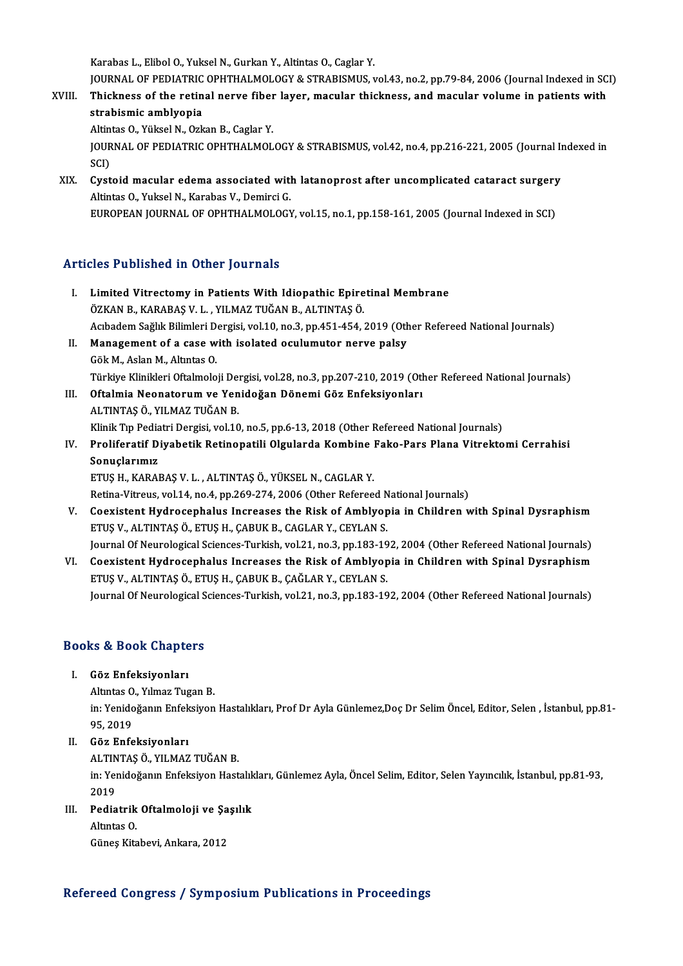Karabas L.,ElibolO.,YukselN.,GurkanY.,AltintasO.,Caglar Y.

Karabas L., Elibol O., Yuksel N., Gurkan Y., Altintas O., Caglar Y.<br>JOURNAL OF PEDIATRIC OPHTHALMOLOGY & STRABISMUS, vol.43, no.2, pp.79-84, 2006 (Journal Indexed in SCI)<br>Thielmess of the natinal nanye fiher layer, macular Karabas L., Elibol O., Yuksel N., Gurkan Y., Altintas O., Caglar Y.<br>JOURNAL OF PEDIATRIC OPHTHALMOLOGY & STRABISMUS, vol.43, no.2, pp.79-84, 2006 (Journal Indexed in SC<br>XVIII. Thickness of the retinal nerve fiber layer, ma JOURNAL OF PEDIATRIC<br>Thickness of the retin<br>strabismic amblyopia<br>Altintes O. Villeel N. Ork Thickness of the retinal nerve fiber<br>strabismic amblyopia<br>Altintas O., Yüksel N., Ozkan B., Caglar Y.<br>JOUPNAL OF PEDIATPIC OPHTHALMOL

strabismic amblyopia<br>Altintas O., Yüksel N., Ozkan B., Caglar Y.<br>JOURNAL OF PEDIATRIC OPHTHALMOLOGY & STRABISMUS, vol.42, no.4, pp.216-221, 2005 (Journal Indexed in<br>SCI) Altin<br>JOUR<br>SCI)<br>Cyst JOURNAL OF PEDIATRIC OPHTHALMOLOGY & STRABISMUS, vol.42, no.4, pp.216-221, 2005 (Journal In<br>SCI)<br>XIX. Cystoid macular edema associated with latanoprost after uncomplicated cataract surgery

SCI)<br><mark>Cystoid macular edema associated witl</mark><br>Altintas O., Yuksel N., Karabas V., Demirci G.<br>FUROPEAN JOURNAL OF OPHTHALMOLOCY Altintas O., Yuksel N., Karabas V., Demirci G.<br>EUROPEAN JOURNAL OF OPHTHALMOLOGY, vol.15, no.1, pp.158-161, 2005 (Journal Indexed in SCI)

### Articles Published in Other Journals

- rticles Published in Other Journals<br>I. Limited Vitrectomy in Patients With Idiopathic Epiretinal Membrane ETES 1 MEHENEM III OMAT JOMTHAR<br>ÜZKAN B., KARABAŞ V. L. , YILMAZ TUĞAN B., ALTINTAŞ Ö.<br>Askadam Sağlık Bilimlari Darsisi vol 10 no 3 nn 451 454 . ÖZKAN B., KARABAŞ V. L. , YILMAZ TUĞAN B., ALTINTAŞ Ö.<br>Acıbadem Sağlık Bilimleri Dergisi, vol.10, no.3, pp.451-454, 2019 (Other Refereed National Journals) ÖZKAN B., KARABAŞ V. L. , YILMAZ TUĞAN B., ALTINTAŞ Ö.<br>Acıbadem Sağlık Bilimleri Dergisi, vol.10, no.3, pp.451-454, 2019 (Oth<br>II. Management of a case with isolated oculumutor nerve palsy<br>C<sup>âl: M. Aslan M. Altıntaş Q</sup>.
- Acıbadem Sağlık Bilimleri D<br>**Management of a case w.**<br>Gök M., Aslan M., Altıntas O.<br>Türkiye Klinikleri Oftalmale Gök M., Aslan M., Altıntas O.<br>Türkiye Klinikleri Oftalmoloji Dergisi, vol.28, no.3, pp.207-210, 2019 (Other Refereed National Journals) Gök M., Aslan M., Altıntas O.<br>Türkiye Klinikleri Oftalmoloji Dergisi, vol.28, no.3, pp.207-210, 2019 (Oth<br>III. Oftalmia Neonatorum ve Yenidoğan Dönemi Göz Enfeksiyonları<br>ALTINTAS Ö. VILMAZ TUĞAN P
- Türkiye Klinikleri Oftalmoloji Del<br>Oftalmia Neonatorum ve Yen<br>ALTINTAŞ Ö., YILMAZ TUĞAN B.<br>Klinik Tın Bodiatri Dergisi vel 10 ALTINTAŞ Ö., YILMAZ TUĞAN B.<br>Klinik Tıp Pediatri Dergisi, vol.10, no.5, pp.6-13, 2018 (Other Refereed National Journals) ALTINTAŞ Ö., YILMAZ TUĞAN B.<br>Klinik Tıp Pediatri Dergisi, vol.10, no.5, pp.6-13, 2018 (Other Refereed National Journals)<br>IV. Proliferatif Diyabetik Retinopatili Olgularda Kombine Fako-Pars Plana Vitrektomi Cerrahisi<br>Sa
- Klinik Tıp Pedia<br><mark>Proliferatif D</mark><br>Sonuçlarımız<br>ETUS H-KARAL Sonuçlarımız<br>ETUŞ H., KARABAŞ V. L. , ALTINTAŞ Ö., YÜKSEL N., CAGLAR Y. S<mark>onuçlarımız</mark><br>ETUŞ H., KARABAŞ V. L. , ALTINTAŞ Ö., YÜKSEL N., CAGLAR Y.<br>Retina-Vitreus, vol.14, no.4, pp.269-274, 2006 (Other Refereed National Journals)<br>Coevistent Hydnosenhalus Insvesses the Bisk of Amblyania in Childr

- V. Coexistent Hydrocephalus Increases the Risk of Amblyopia in Children with Spinal Dysraphism Retina-Vitreus, vol.14, no.4, pp.269-274, 2006 (Other Refereed N<br>Coexistent Hydrocephalus Increases the Risk of Amblyop<br>ETUŞ V., ALTINTAŞ Ö., ETUŞ H., ÇABUK B., CAGLAR Y., CEYLAN S.<br>Journal Of Nouralogiaal Sciences Turkish Coexistent Hydrocephalus Increases the Risk of Amblyopia in Children with Spinal Dysraphism<br>ETUŞ V., ALTINTAŞ Ö., ETUŞ H., ÇABUK B., CAGLAR Y., CEYLAN S.<br>Journal Of Neurological Sciences-Turkish, vol.21, no.3, pp.183-192,
- ETUŞ V., ALTINTAŞ Ö., ETUŞ H., ÇABUK B., CAGLAR Y., CEYLAN S.<br>Journal Of Neurological Sciences-Turkish, vol.21, no.3, pp.183-192, 2004 (Other Refereed National Journals)<br>VI. Coexistent Hydrocephalus Increases the Risk of A Journal Of Neurological Sciences-Turkish, vol.21, no.3, pp.183-19<br>Coexistent Hydrocephalus Increases the Risk of Amblyop<br>ETUŞ V., ALTINTAŞ Ö., ETUŞ H., ÇABUK B., ÇAĞLAR Y., CEYLAN S.<br>Journal Of Nourological Sciences Turkis VI. Coexistent Hydrocephalus Increases the Risk of Amblyopia in Children with Spinal Dysraphism<br>ETUŞ V., ALTINTAŞ Ö., ETUŞ H., ÇABUK B., ÇAĞLAR Y., CEYLAN S.<br>Journal Of Neurological Sciences-Turkish, vol.21, no.3, pp.183-1

## <sub>Journal of Neurological S</sub><br>Books & Book Chapters ooks & Book Chapte<br>I. Göz Enfeksiyonları<br>Altates O. Vilmar Tue

I. Göz Enfeksiyonları<br>Altıntas O., Yılmaz Tugan B. Göz Enfeksiyonları<br>Altıntas O., Yılmaz Tugan B.<br>in: Yenidoğanın Enfeksiyon Hastalıkları, Prof Dr Ayla Günlemez,Doç Dr Selim Öncel, Editor, Selen , İstanbul, pp.81-Altıntas O<br>in: Yenido<br>95, 2019<br>Göz Enfo 95, 2019<br>II. Göz Enfeksiyonları 95, 2019<br>Göz Enfeksiyonları<br>ALTINTAŞ Ö., YILMAZ TUĞAN B.<br>in: Yonidoğanın Enfeksiyon Hest

in: Yenidoğanın Enfeksiyon Hastalıkları, Günlemez Ayla, Öncel Selim, Editor, Selen Yayıncılık, İstanbul, pp.81-93,<br>2019 ALTIN<br>in: Yei<br>2019<br>Pedia in: Yenidoğanın Enfeksiyon Hastalık<br>2019<br>III. Pediatrik Oftalmoloji ve Şaşılık<br>Altıntas O

Pediatrik Oftalmoloji ve Şa<br>Altıntas O.<br>Güneş Kitabevi, Ankara, 2012

2019<br>Pediatrik<br>Altıntas O.<br>Günes <sup>Kite</sup>

# Güneş Kitabevi, Ankara, 2012<br>Refereed Congress / Symposium Publications in Proceedings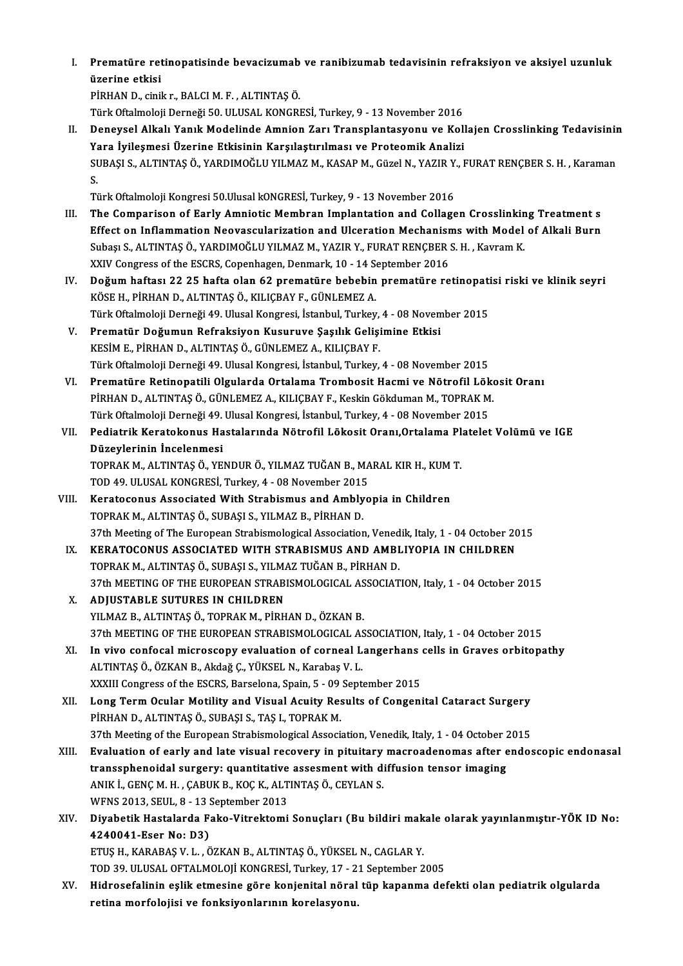I. Prematüre retinopatisinde bevacizumab ve ranibizumab tedavisinin refraksiyon ve aksiyel uzunluk **Prematüre ret<br>üzerine etkisi<br>PİPHAN D. cipil** üzerine etkisi<br>PİRHAN D., cinik r., BALCI M. F. , ALTINTAŞ Ö.

Türk Oftalmoloji Derneği 50. ULUSAL KONGRESİ, Turkey, 9 - 13 November 2016

II. Deneysel Alkalı Yanık Modelinde Amnion Zarı Transplantasyonu ve Kollajen Crosslinking Tedavisinin Yara İyileşmesi Üzerine Etkisinin Karşılaştırılması ve Proteomik Analizi Deneysel Alkalı Yanık Modelinde Amnion Zarı Transplantasyonu ve Kollajen Crosslinking Tedavisinir<br>Yara İyileşmesi Üzerine Etkisinin Karşılaştırılması ve Proteomik Analizi<br>SUBAŞI S., ALTINTAŞ Ö., YARDIMOĞLU YILMAZ M., KASAP Ya<br>Sl<br>Ti SUBAŞI S., ALTINTAŞ Ö., YARDIMOĞLU YILMAZ M., KASAP M., Güzel N., YAZIR Y.<br>S.<br>Türk Oftalmoloji Kongresi 50.Ulusal kONGRESİ, Turkey, 9 - 13 November 2016<br>The Comparison of Farly Ampietis Membran Implentation and Collage

- S.<br>Türk Oftalmoloji Kongresi 50.Ulusal kONGRESİ, Turkey, 9 13 November 2016<br>III. The Comparison of Early Amniotic Membran Implantation and Collagen Crosslinking Treatment s<br>Fffect on Inflammation Noovegevlarization a Türk Oftalmoloji Kongresi 50.Ulusal kONGRESİ, Turkey, 9 - 13 November 2016<br>The Comparison of Early Amniotic Membran Implantation and Collagen Crosslinking Treatment s<br>Effect on Inflammation Neovascularization and Ulceratio The Comparison of Early Amniotic Membran Implantation and Collagen Crosslinkin<br>Effect on Inflammation Neovascularization and Ulceration Mechanisms with Model<br>Subaşı S., ALTINTAŞ Ö., YARDIMOĞLU YILMAZ M., YAZIR Y., FURAT RE Effect on Inflammation Neovascularization and Ulceration Mechanisms with Model of Alkali Burn<br>Subaşı S., ALTINTAŞ Ö., YARDIMOĞLU YILMAZ M., YAZIR Y., FURAT RENÇBER S. H. , Kavram K.<br>XXIV Congress of the ESCRS, Copenhagen, Subaşı S., ALTINTAŞ Ö., YARDIMOĞLU YILMAZ M., YAZIR Y., FURAT RENÇBER S. H. , Kavram K.<br>XXIV Congress of the ESCRS, Copenhagen, Denmark, 10 - 14 September 2016<br>IV. Doğum haftası 22 25 hafta olan 62 prematüre bebebin premat
- XXIV Congress of the ESCRS, Copenhagen, Denmark, 10 14 S<br>Doğum haftası 22 25 hafta olan 62 prematüre bebebin<br>KÖSE H., PİRHAN D., ALTINTAŞ Ö., KILIÇBAY F., GÜNLEMEZ A.<br>Türk Oftalmoloji Denneği 49 Hlusal Kongresi, İstanbul Doğum haftası 22 25 hafta olan 62 prematüre bebebin prematüre retinopati<br>KÖSE H., PİRHAN D., ALTINTAŞ Ö., KILIÇBAY F., GÜNLEMEZ A.<br>Türk Oftalmoloji Derneği 49. Ulusal Kongresi, İstanbul, Turkey, 4 - 08 November 2015<br>Premat KÖSE H., PİRHAN D., ALTINTAŞ Ö., KILIÇBAY F., GÜNLEMEZ A.<br>Türk Oftalmoloji Derneği 49. Ulusal Kongresi, İstanbul, Turkey, 4 - 08 Novem<br>V. Prematür Doğumun Refraksiyon Kusuruve Şaşılık Gelişimine Etkisi<br>KESİM E., PİRHAN D., Türk Oftalmoloji Derneği 49. Ulusal Kongresi, İstanbul, Turkey, 4 - 08 November 2015
- TürkOftalmolojiDerneği49.UlusalKongresi, İstanbul,Turkey,4 -08November 2015 KESİM E., PİRHAN D., ALTINTAŞ Ö., GÜNLEMEZ A., KILIÇBAY F.<br>Türk Oftalmoloji Derneği 49. Ulusal Kongresi, İstanbul, Turkey, 4 - 08 November 2015<br>VI. Prematüre Retinopatili Olgularda Ortalama Trombosit Hacmi ve Nötrofil Löko
- Türk Oftalmoloji Derneği 49. Ulusal Kongresi, İstanbul, Turkey, 4 08 November 2015<br>Prematüre Retinopatili Olgularda Ortalama Trombosit Hacmi ve Nötrofil Löko<br>PİRHAN D., ALTINTAŞ Ö., GÜNLEMEZ A., KILIÇBAY F., Keskin Gökdu Prematüre Retinopatili Olgularda Ortalama Trombosit Hacmi ve Nötrofil Lök<br>PİRHAN D., ALTINTAŞ Ö., GÜNLEMEZ A., KILIÇBAY F., Keskin Gökduman M., TOPRAK M<br>Türk Oftalmoloji Derneği 49. Ulusal Kongresi, İstanbul, Turkey, 4 - 0 PİRHAN D., ALTINTAŞ Ö., GÜNLEMEZ A., KILIÇBAY F., Keskin Gökduman M., TOPRAK M.<br>Türk Oftalmoloji Derneği 49. Ulusal Kongresi, İstanbul, Turkey, 4 - 08 November 2015<br>VII. Pediatrik Keratokonus Hastalarında Nötrofil Löko
- Türk Oftalmoloji Derneği 49.<br>Pediatrik Keratokonus Ha<br>Düzeylerinin İncelenmesi<br>TOPPAK MALITINTASÖ YE Pediatrik Keratokonus Hastalarında Nötrofil Lökosit Oranı,Ortalama Pl<br>Düzeylerinin İncelenmesi<br>TOPRAK M., ALTINTAŞ Ö., YENDUR Ö., YILMAZ TUĞAN B., MARAL KIR H., KUM T.<br>TOD 49 III USAL KONCRESİ Turkey 4 - 08 Nevember 2015

Düzeylerinin İncelenmesi<br>TOPRAK M., ALTINTAŞ Ö., YENDUR Ö., YILMAZ TUĞAN B., MA<br>TOD 49. ULUSAL KONGRESİ, Turkey, 4 - 08 November 2015<br>Karatasanus, Assasiated With Strabismus and Amblus

- TOPRAK M., ALTINTAŞ Ö., YENDUR Ö., YILMAZ TUĞAN B., MARAL KIR H., KUM T.<br>TOD 49. ULUSAL KONGRESİ, Turkey, 4 08 November 2015<br>VIII. Keratoconus Associated With Strabismus and Amblyopia in Children<br>TOPRAK M., ALTINTAŞ Ö., TOD 49. ULUSAL KONGRESİ, Turkey, 4 - 08 November 2015<br>Keratoconus Associated With Strabismus and Ambly<br>TOPRAK M., ALTINTAŞ Ö., SUBAŞI S., YILMAZ B., PİRHAN D.<br>27th Meeting of The Euronean Strabismologisal Association Keratoconus Associated With Strabismus and Amblyopia in Children<br>TOPRAK M., ALTINTAŞ Ö., SUBAŞI S., YILMAZ B., PİRHAN D.<br>37th Meeting of The European Strabismological Association, Venedik, Italy, 1 - 04 October 2015<br>KERATO TOPRAK M., ALTINTAŞ Ö., SUBAŞI S., YILMAZ B., PİRHAN D.<br>37th Meeting of The European Strabismological Association, Venedik, Italy, 1 - 04 October 20<br>IX. KERATOCONUS ASSOCIATED WITH STRABISMUS AND AMBLIYOPIA IN CHILDREN<br>TOP
	- 37th Meeting of The European Strabismological Association, Vened<br>KERATOCONUS ASSOCIATED WITH STRABISMUS AND AMBI<br>TOPRAK M., ALTINTAŞ Ö., SUBAŞI S., YILMAZ TUĞAN B., PİRHAN D.<br>27th MEETING OF TUE EUROPEAN STRABISMOLOGICAL A KERATOCONUS ASSOCIATED WITH STRABISMUS AND AMBLIYOPIA IN CHILDREN<br>TOPRAK M., ALTINTAŞ Ö., SUBAŞI S., YILMAZ TUĞAN B., PİRHAN D.<br>37th MEETING OF THE EUROPEAN STRABISMOLOGICAL ASSOCIATION, Italy, 1 - 04 October 2015<br>ADUISTAR TOPRAK M., ALTINTAŞ Ö., SUBAŞI S., YILMAZ TUĞAN B., PİRHAN D.<br>37th MEETING OF THE EUROPEAN STRABISMOLOGICAL ASSOCIAT!<br>X. ADJUSTABLE SUTURES IN CHILDREN<br>YILMAZ B., ALTINTAŞ Ö., TOPRAK M., PİRHAN D., ÖZKAN B.
	- 37th MEETING OF THE EUROPEAN STRABISMOLOGICAL AS<br>**ADJUSTABLE SUTURES IN CHILDREN**<br>YILMAZ B., ALTINTAŞ Ö., TOPRAK M., PİRHAN D., ÖZKAN B.<br><sup>27th</sup> MEETING OF THE EUROPEAN STRABISMOLOGICAL AS ADJUSTABLE SUTURES IN CHILDREN<br>YILMAZ B., ALTINTAŞ Ö., TOPRAK M., PİRHAN D., ÖZKAN B.<br>37th MEETING OF THE EUROPEAN STRABISMOLOGICAL ASSOCIATION, Italy, 1 - 04 October 2015<br>In vive senfesel mispesseny evelyetion of senneel
- XI. In vivo confocal microscopy evaluation of corneal Langerhans cells in Graves orbitopathy<br>ALTINTAS Ö., ÖZKAN B., Akdağ Ç., YÜKSEL N., Karabaş V. L. 37th MEETING OF THE EUROPEAN STRABISMOLOGICAL AS<br>In vivo confocal microscopy evaluation of corneal L<br>ALTINTAŞ Ö., ÖZKAN B., Akdağ Ç., YÜKSEL N., Karabaş V. L.<br>YYYIII Congress of the ESCBS, Barselona Spain 5, .00 Sont XXXIII Congress of the ESCRS, Barselona, Spain, 5 - 09 September 2015 ALTINTAŞ Ö., ÖZKAN B., Akdağ Ç., YÜKSEL N., Karabaş V. L.<br>XXXIII Congress of the ESCRS, Barselona, Spain, 5 - 09 September 2015<br>XII. Long Term Ocular Motility and Visual Acuity Results of Congenital Cataract Surgery<br>RI
- XXXIII Congress of the ESCRS, Barselona, Spain, 5 09<br>Long Term Ocular Motility and Visual Acuity Res<br>PİRHAN D., ALTINTAŞ Ö., SUBAŞI S., TAŞ I., TOPRAK M.<br>27th Meeting of the European Strabismological Associ: Long Term Ocular Motility and Visual Acuity Results of Congenital Cataract Surgery<br>PİRHAN D., ALTINTAŞ Ö., SUBAŞI S., TAŞ I., TOPRAK M.<br>37th Meeting of the European Strabismological Association, Venedik, Italy, 1 - 04 Octo
- PİRHAN D., ALTINTAŞ Ö., SUBAŞI S., TAŞ I., TOPRAK M.<br>37th Meeting of the European Strabismological Association, Venedik, Italy, 1 04 October 2015<br>XIII. Evaluation of early and late visual recovery in pituitary macroa 37th Meeting of the European Strabismological Association, Venedik, Italy, 1 - 04 October 2015<br>Evaluation of early and late visual recovery in pituitary macroadenomas after endo<br>transsphenoidal surgery: quantitative assesm Evaluation of early and late visual recovery in pituitary<br>transsphenoidal surgery: quantitative assesment with d<br>ANIK İ., GENÇ M. H. , ÇABUK B., KOÇ K., ALTINTAŞ Ö., CEYLAN S.<br>WENS 2012 SEUL 8 - 12 Sentember 2012 transsphenoidal surgery: quantitative assesment with diffusion tensor imaging<br>ANIK İ., GENÇ M. H. , ÇABUK B., KOÇ K., ALTINTAŞ Ö., CEYLAN S.<br>WFNS 2013, SEUL, 8 - 13 September 2013

### XIV. Diyabetik Hastalarda Fako-Vitrektomi Sonuçları (Bu bildirimakale olarak yayınlanmıştır-YÖK ID No: 4240041-Eser No: D3) Diyabetik Hastalarda Fako-Vitrektomi Sonuçları (Bu bildiri mak<br>4240041-Eser No: D3)<br>ETUŞ H., KARABAŞ V. L. , ÖZKAN B., ALTINTAŞ Ö., YÜKSEL N., CAGLAR Y.<br>TOD 20 HLUSAL OETALMOLOU KONCBESİ Turkay 17 - 21 Santambar 2 4240041-Eser No: D3)<br>ETUŞ H., KARABAŞ V. L. , ÖZKAN B., ALTINTAŞ Ö., YÜKSEL N., CAGLAR Y.<br>TOD 39. ULUSAL OFTALMOLOJİ KONGRESİ, Turkey, 17 - 21 September 2005<br>Hidrosofolinin şelik etmesine göre konienital nörel tün kananma

TOD 39. ULUSAL OFTALMOLOJİ KONGRESİ, Turkey, 17 - 21 September 2005

XV. Hidrosefalinin eşlik etmesine göre konjenital nöral tüp kapanma defekti olan pediatrik olgularda